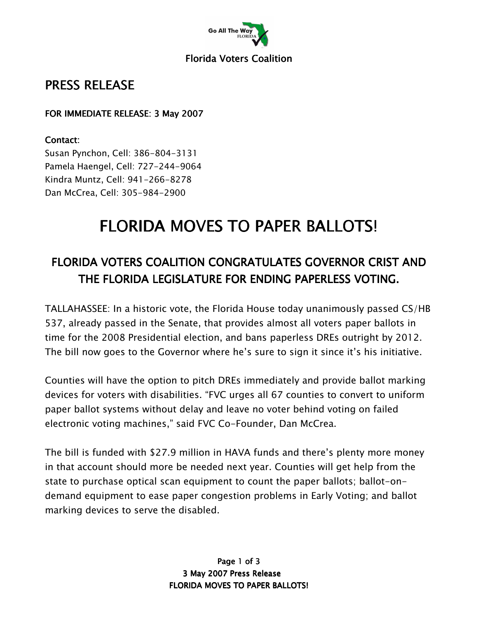

#### **Florida Voters Coalition**

## PRESS RELEASE

#### FOR IMMEDIATE RELEASE: 3 May 2007

#### Contact:

Susan Pynchon, Cell: 386-804-3131 Pamela Haengel, Cell: 727-244-9064 Kindra Muntz, Cell: 941-266-8278 Dan McCrea, Cell: 305-984-2900

# FLORIDA MOVES TO PAPER BALLOTS!

## FLORIDA VOTERS COALITION CONGRATULATES GOVERNOR CRIST AND THE FLORIDA LEGISLATURE FOR ENDING PAPERLESS VOTING.

TALLAHASSEE: In a historic vote, the Florida House today unanimously passed CS/HB 537, already passed in the Senate, that provides almost all voters paper ballots in time for the 2008 Presidential election, and bans paperless DREs outright by 2012. The bill now goes to the Governor where he's sure to sign it since it's his initiative.

Counties will have the option to pitch DREs immediately and provide ballot marking devices for voters with disabilities. "FVC urges all 67 counties to convert to uniform paper ballot systems without delay and leave no voter behind voting on failed electronic voting machines," said FVC Co-Founder, Dan McCrea.

The bill is funded with \$27.9 million in HAVA funds and there's plenty more money in that account should more be needed next year. Counties will get help from the state to purchase optical scan equipment to count the paper ballots; ballot-ondemand equipment to ease paper congestion problems in Early Voting; and ballot marking devices to serve the disabled.

> Page 1 of 3 3 May 2007 Press Release **FLORIDA MOVES TO PAPER BALLOTS!**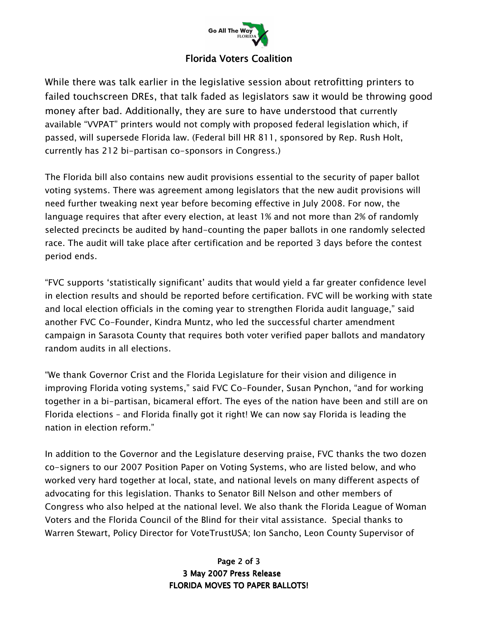

#### **Florida Voters Coalition**

While there was talk earlier in the legislative session about retrofitting printers to failed touchscreen DREs, that talk faded as legislators saw it would be throwing good money after bad. Additionally, they are sure to have understood that currently available "VVPAT" printers would not comply with proposed federal legislation which, if passed, will supersede Florida law. (Federal bill HR 811, sponsored by Rep. Rush Holt, currently has 212 bi-partisan co-sponsors in Congress.)

The Florida bill also contains new audit provisions essential to the security of paper ballot voting systems. There was agreement among legislators that the new audit provisions will need further tweaking next year before becoming effective in July 2008. For now, the language requires that after every election, at least 1% and not more than 2% of randomly selected precincts be audited by hand-counting the paper ballots in one randomly selected race. The audit will take place after certification and be reported 3 days before the contest period ends.

"FVC supports 'statistically significant' audits that would yield a far greater confidence level in election results and should be reported before certification. FVC will be working with state and local election officials in the coming year to strengthen Florida audit language," said another FVC Co-Founder, Kindra Muntz, who led the successful charter amendment campaign in Sarasota County that requires both voter verified paper ballots and mandatory random audits in all elections.

"We thank Governor Crist and the Florida Legislature for their vision and diligence in improving Florida voting systems," said FVC Co-Founder, Susan Pynchon, "and for working together in a bi-partisan, bicameral effort. The eyes of the nation have been and still are on Florida elections – and Florida finally got it right! We can now say Florida is leading the nation in election reform."

In addition to the Governor and the Legislature deserving praise, FVC thanks the two dozen co-signers to our 2007 Position Paper on Voting Systems, who are listed below, and who worked very hard together at local, state, and national levels on many different aspects of advocating for this legislation. Thanks to Senator Bill Nelson and other members of Congress who also helped at the national level. We also thank the Florida League of Woman Voters and the Florida Council of the Blind for their vital assistance. Special thanks to Warren Stewart, Policy Director for VoteTrustUSA; Ion Sancho, Leon County Supervisor of

#### Page 2 of 3 3 May 2007 Press Release FLORIDA MOVES TO PAPER BALLOTS!